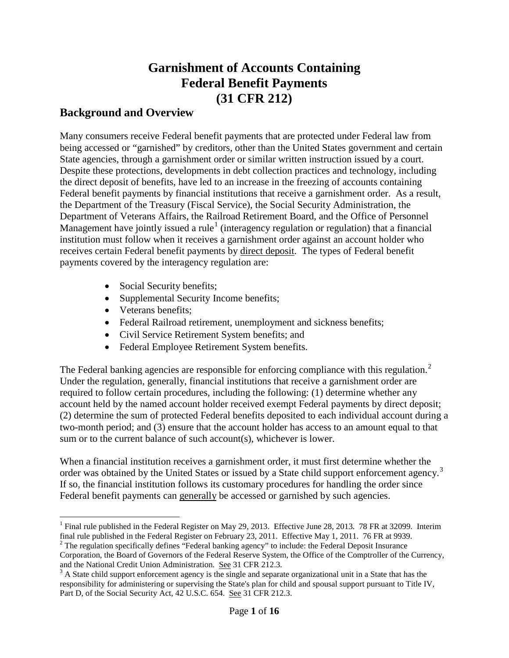# **Garnishment of Accounts Containing Federal Benefit Payments (31 CFR 212)**

#### **Background and Overview**

Many consumers receive Federal benefit payments that are protected under Federal law from being accessed or "garnished" by creditors, other than the United States government and certain State agencies, through a garnishment order or similar written instruction issued by a court. Despite these protections, developments in debt collection practices and technology, including the direct deposit of benefits, have led to an increase in the freezing of accounts containing Federal benefit payments by financial institutions that receive a garnishment order. As a result, the Department of the Treasury (Fiscal Service), the Social Security Administration, the Department of Veterans Affairs, the Railroad Retirement Board, and the Office of Personnel Management have jointly issued a rule<sup>[1](#page-0-0)</sup> (interagency regulation or regulation) that a financial institution must follow when it receives a garnishment order against an account holder who receives certain Federal benefit payments by direct deposit. The types of Federal benefit payments covered by the interagency regulation are:

- Social Security benefits;
- Supplemental Security Income benefits;
- Veterans benefits;
- Federal Railroad retirement, unemployment and sickness benefits;
- Civil Service Retirement System benefits; and
- Federal Employee Retirement System benefits.

The Federal banking agencies are responsible for enforcing compliance with this regulation.<sup>[2](#page-0-1)</sup> Under the regulation, generally, financial institutions that receive a garnishment order are required to follow certain procedures, including the following: (1) determine whether any account held by the named account holder received exempt Federal payments by direct deposit; (2) determine the sum of protected Federal benefits deposited to each individual account during a two-month period; and (3) ensure that the account holder has access to an amount equal to that sum or to the current balance of such account(s), whichever is lower.

When a financial institution receives a garnishment order, it must first determine whether the order was obtained by the United States or issued by a State child support enforcement agency.<sup>[3](#page-0-2)</sup> If so, the financial institution follows its customary procedures for handling the order since Federal benefit payments can generally be accessed or garnished by such agencies.

<span id="page-0-0"></span><sup>&</sup>lt;sup>1</sup> Final rule published in the Federal Register on May 29, 2013. Effective June 28, 2013. 78 FR at 32099. Interim final rule published in the Federal Register on February 23, 2011. Effective May 1, 2011. 76 FR at 9939.

<span id="page-0-1"></span> $\frac{1}{2}$  The regulation specifically defines "Federal banking agency" to include: the Federal Deposit Insurance Corporation, the Board of Governors of the Federal Reserve System, the Office of the Comptroller of the Currency, and the National Credit Union Administration. See 31 CFR 212.3.<br><sup>3</sup> A State child support enforcement agency is the single and separate organizational unit in a State that has the

<span id="page-0-2"></span>responsibility for administering or supervising the State's plan for child and spousal support pursuant to Title IV, Part D, of the Social Security Act, 42 U.S.C. 654. See 31 CFR 212.3.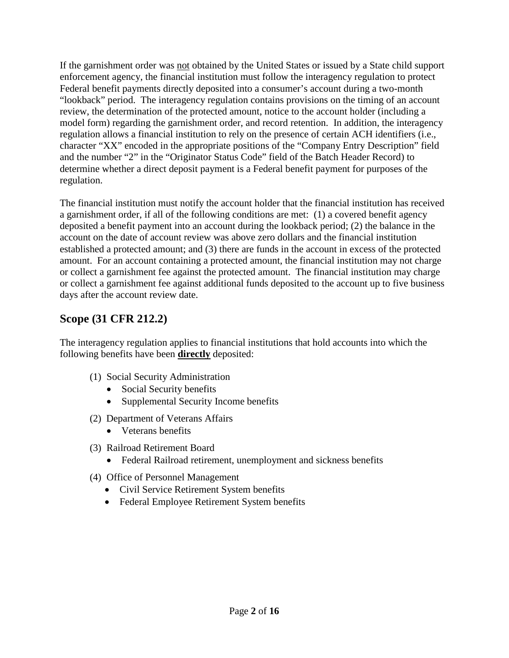If the garnishment order was not obtained by the United States or issued by a State child support enforcement agency, the financial institution must follow the interagency regulation to protect Federal benefit payments directly deposited into a consumer's account during a two-month "lookback" period. The interagency regulation contains provisions on the timing of an account review, the determination of the protected amount, notice to the account holder (including a model form) regarding the garnishment order, and record retention. In addition, the interagency regulation allows a financial institution to rely on the presence of certain ACH identifiers (i.e., character "XX" encoded in the appropriate positions of the "Company Entry Description" field and the number "2" in the "Originator Status Code" field of the Batch Header Record) to determine whether a direct deposit payment is a Federal benefit payment for purposes of the regulation.

The financial institution must notify the account holder that the financial institution has received a garnishment order, if all of the following conditions are met: (1) a covered benefit agency deposited a benefit payment into an account during the lookback period; (2) the balance in the account on the date of account review was above zero dollars and the financial institution established a protected amount; and (3) there are funds in the account in excess of the protected amount. For an account containing a protected amount, the financial institution may not charge or collect a garnishment fee against the protected amount. The financial institution may charge or collect a garnishment fee against additional funds deposited to the account up to five business days after the account review date.

### **Scope (31 CFR 212.2)**

The interagency regulation applies to financial institutions that hold accounts into which the following benefits have been **directly** deposited:

- (1) Social Security Administration
	- Social Security benefits
	- Supplemental Security Income benefits
- (2) Department of Veterans Affairs
	- Veterans benefits
- (3) Railroad Retirement Board
	- Federal Railroad retirement, unemployment and sickness benefits
- (4) Office of Personnel Management
	- Civil Service Retirement System benefits
	- Federal Employee Retirement System benefits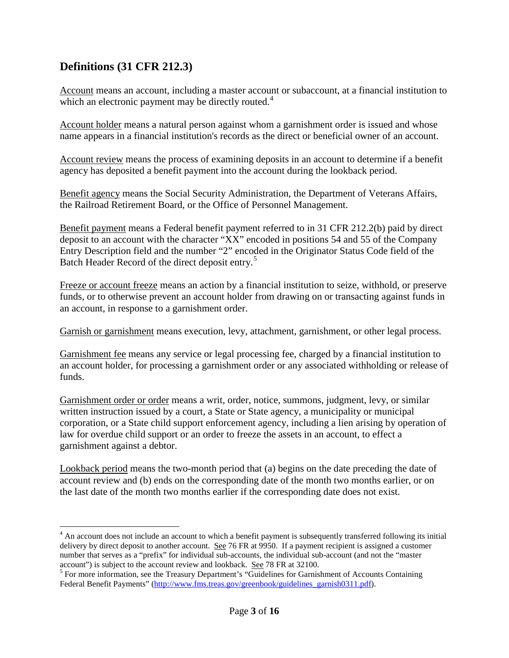### **Definitions (31 CFR 212.3)**

Account means an account, including a master account or subaccount, at a financial institution to which an electronic payment may be directly routed.<sup>[4](#page-2-0)</sup>

Account holder means a natural person against whom a garnishment order is issued and whose name appears in a financial institution's records as the direct or beneficial owner of an account.

Account review means the process of examining deposits in an account to determine if a benefit agency has deposited a benefit payment into the account during the lookback period.

Benefit agency means the Social Security Administration, the Department of Veterans Affairs, the Railroad Retirement Board, or the Office of Personnel Management.

Benefit payment means a Federal benefit payment referred to in 31 CFR 212.2(b) paid by direct deposit to an account with the character "XX" encoded in positions 54 and 55 of the Company Entry Description field and the number "2" encoded in the Originator Status Code field of the Batch Header Record of the direct deposit entry.<sup>[5](#page-2-1)</sup>

Freeze or account freeze means an action by a financial institution to seize, withhold, or preserve funds, or to otherwise prevent an account holder from drawing on or transacting against funds in an account, in response to a garnishment order.

Garnish or garnishment means execution, levy, attachment, garnishment, or other legal process.

Garnishment fee means any service or legal processing fee, charged by a financial institution to an account holder, for processing a garnishment order or any associated withholding or release of funds.

Garnishment order or order means a writ, order, notice, summons, judgment, levy, or similar written instruction issued by a court, a State or State agency, a municipality or municipal corporation, or a State child support enforcement agency, including a lien arising by operation of law for overdue child support or an order to freeze the assets in an account, to effect a garnishment against a debtor.

Lookback period means the two-month period that (a) begins on the date preceding the date of account review and (b) ends on the corresponding date of the month two months earlier, or on the last date of the month two months earlier if the corresponding date does not exist.

<span id="page-2-0"></span><sup>&</sup>lt;sup>4</sup> An account does not include an account to which a benefit payment is subsequently transferred following its initial delivery by direct deposit to another account. See 76 FR at 9950. If a payment recipient is assigned a customer number that serves as a "prefix" for individual sub-accounts, the individual sub-account (and not the "master account") is subject to the account review and lookback. See 78 FR at 32100.<br><sup>5</sup> For more information, see the Treasury Department's "Guidelines for Garnishment of Accounts Containing

<span id="page-2-1"></span>Federal Benefit Payments" [\(http://www.fms.treas.gov/greenbook/guidelines\\_garnish0311.pdf\)](http://www.fms.treas.gov/greenbook/guidelines_garnish0311.pdf).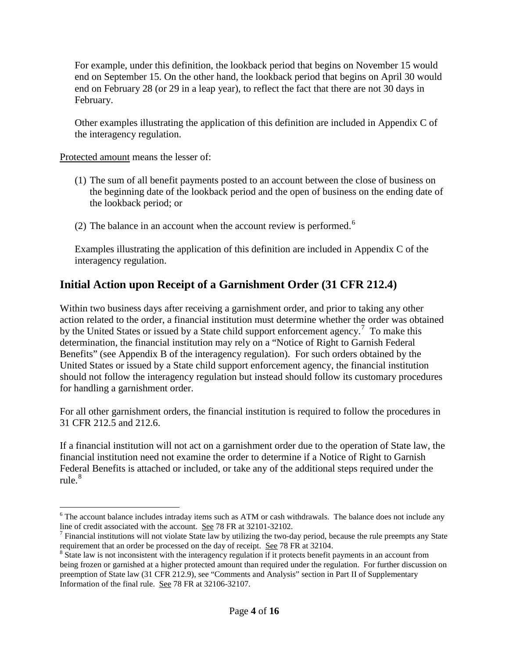For example, under this definition, the lookback period that begins on November 15 would end on September 15. On the other hand, the lookback period that begins on April 30 would end on February 28 (or 29 in a leap year), to reflect the fact that there are not 30 days in February.

Other examples illustrating the application of this definition are included in Appendix C of the interagency regulation.

Protected amount means the lesser of:

- (1) The sum of all benefit payments posted to an account between the close of business on the beginning date of the lookback period and the open of business on the ending date of the lookback period; or
- (2) The balance in an account when the account review is performed.<sup>[6](#page-3-0)</sup>

Examples illustrating the application of this definition are included in Appendix C of the interagency regulation.

## **Initial Action upon Receipt of a Garnishment Order (31 CFR 212.4)**

Within two business days after receiving a garnishment order, and prior to taking any other action related to the order, a financial institution must determine whether the order was obtained by the United States or issued by a State child support enforcement agency.<sup>[7](#page-3-1)</sup> To make this determination, the financial institution may rely on a "Notice of Right to Garnish Federal Benefits" (see Appendix B of the interagency regulation). For such orders obtained by the United States or issued by a State child support enforcement agency, the financial institution should not follow the interagency regulation but instead should follow its customary procedures for handling a garnishment order.

For all other garnishment orders, the financial institution is required to follow the procedures in 31 CFR 212.5 and 212.6.

If a financial institution will not act on a garnishment order due to the operation of State law, the financial institution need not examine the order to determine if a Notice of Right to Garnish Federal Benefits is attached or included, or take any of the additional steps required under the rule. $\frac{8}{3}$  $\frac{8}{3}$  $\frac{8}{3}$ 

<span id="page-3-0"></span> $6$  The account balance includes intraday items such as ATM or cash withdrawals. The balance does not include any line of credit associated with the account. See 78 FR at 32101-32102.

<span id="page-3-1"></span><sup>&</sup>lt;sup>7</sup> Financial institutions will not violate State law by utilizing the two-day period, because the rule preempts any State <sup>8</sup> State law is not inconsistent with the interagency regulation if it protects benefit payments in an account from

<span id="page-3-2"></span>being frozen or garnished at a higher protected amount than required under the regulation. For further discussion on preemption of State law (31 CFR 212.9), see "Comments and Analysis" section in Part II of Supplementary Information of the final rule. See 78 FR at 32106-32107.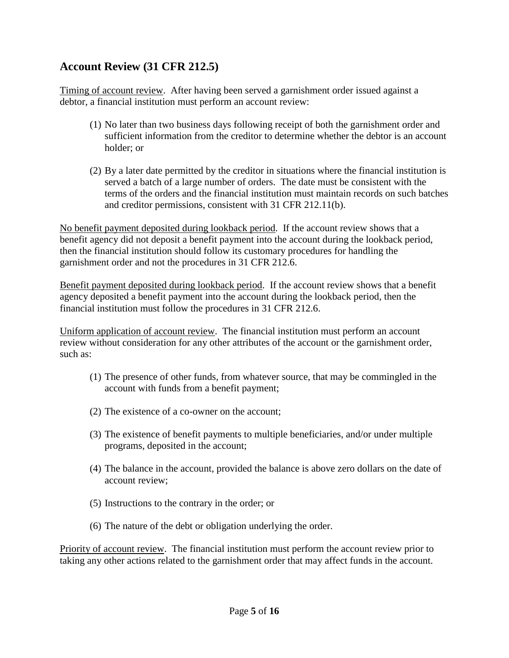#### **Account Review (31 CFR 212.5)**

Timing of account review. After having been served a garnishment order issued against a debtor, a financial institution must perform an account review:

- (1) No later than two business days following receipt of both the garnishment order and sufficient information from the creditor to determine whether the debtor is an account holder; or
- (2) By a later date permitted by the creditor in situations where the financial institution is served a batch of a large number of orders. The date must be consistent with the terms of the orders and the financial institution must maintain records on such batches and creditor permissions, consistent with 31 CFR 212.11(b).

No benefit payment deposited during lookback period. If the account review shows that a benefit agency did not deposit a benefit payment into the account during the lookback period, then the financial institution should follow its customary procedures for handling the garnishment order and not the procedures in 31 CFR 212.6.

Benefit payment deposited during lookback period. If the account review shows that a benefit agency deposited a benefit payment into the account during the lookback period, then the financial institution must follow the procedures in 31 CFR 212.6.

Uniform application of account review. The financial institution must perform an account review without consideration for any other attributes of the account or the garnishment order, such as:

- (1) The presence of other funds, from whatever source, that may be commingled in the account with funds from a benefit payment;
- (2) The existence of a co-owner on the account;
- (3) The existence of benefit payments to multiple beneficiaries, and/or under multiple programs, deposited in the account;
- (4) The balance in the account, provided the balance is above zero dollars on the date of account review;
- (5) Instructions to the contrary in the order; or
- (6) The nature of the debt or obligation underlying the order.

Priority of account review. The financial institution must perform the account review prior to taking any other actions related to the garnishment order that may affect funds in the account.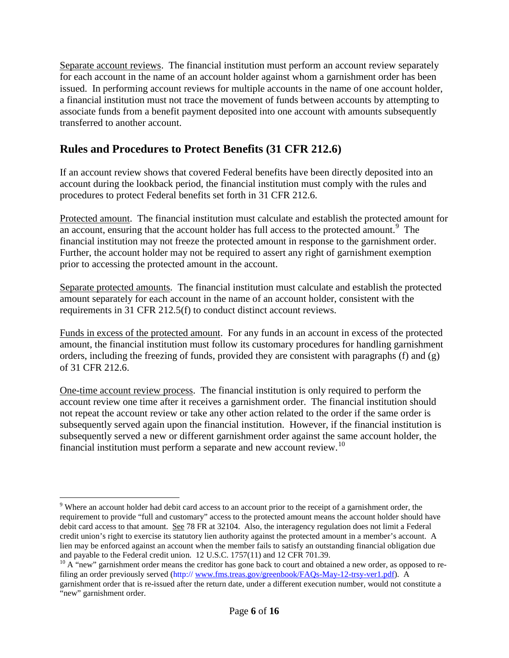Separate account reviews. The financial institution must perform an account review separately for each account in the name of an account holder against whom a garnishment order has been issued. In performing account reviews for multiple accounts in the name of one account holder, a financial institution must not trace the movement of funds between accounts by attempting to associate funds from a benefit payment deposited into one account with amounts subsequently transferred to another account.

#### **Rules and Procedures to Protect Benefits (31 CFR 212.6)**

If an account review shows that covered Federal benefits have been directly deposited into an account during the lookback period, the financial institution must comply with the rules and procedures to protect Federal benefits set forth in 31 CFR 212.6.

Protected amount. The financial institution must calculate and establish the protected amount for an account, ensuring that the account holder has full access to the protected amount.<sup>[9](#page-5-0)</sup> The financial institution may not freeze the protected amount in response to the garnishment order. Further, the account holder may not be required to assert any right of garnishment exemption prior to accessing the protected amount in the account.

Separate protected amounts. The financial institution must calculate and establish the protected amount separately for each account in the name of an account holder, consistent with the requirements in 31 CFR 212.5(f) to conduct distinct account reviews.

Funds in excess of the protected amount. For any funds in an account in excess of the protected amount, the financial institution must follow its customary procedures for handling garnishment orders, including the freezing of funds, provided they are consistent with paragraphs (f) and (g) of 31 CFR 212.6.

One-time account review process. The financial institution is only required to perform the account review one time after it receives a garnishment order. The financial institution should not repeat the account review or take any other action related to the order if the same order is subsequently served again upon the financial institution. However, if the financial institution is subsequently served a new or different garnishment order against the same account holder, the financial institution must perform a separate and new account review.[10](#page-5-1)

<span id="page-5-0"></span><sup>&</sup>lt;sup>9</sup> Where an account holder had debit card access to an account prior to the receipt of a garnishment order, the requirement to provide "full and customary" access to the protected amount means the account holder should have debit card access to that amount. See 78 FR at 32104. Also, the interagency regulation does not limit a Federal credit union's right to exercise its statutory lien authority against the protected amount in a member's account. A lien may be enforced against an account when the member fails to satisfy an outstanding financial obligation due and payable to the Federal credit union. 12 U.S.C. 1757(11) and 12 CFR 701.39.

<span id="page-5-1"></span> $10$  A "new" garnishment order means the creditor has gone back to court and obtained a new order, as opposed to refiling an order previously served (http:/[/ www.fms.treas.gov/greenbook/FAQs-May-12-trsy-ver1.pdf\)](http://www.fms.treas.gov/greenbook/FAQs-May-12-trsy-ver1.pdf). A garnishment order that is re-issued after the return date, under a different execution number, would not constitute a "new" garnishment order.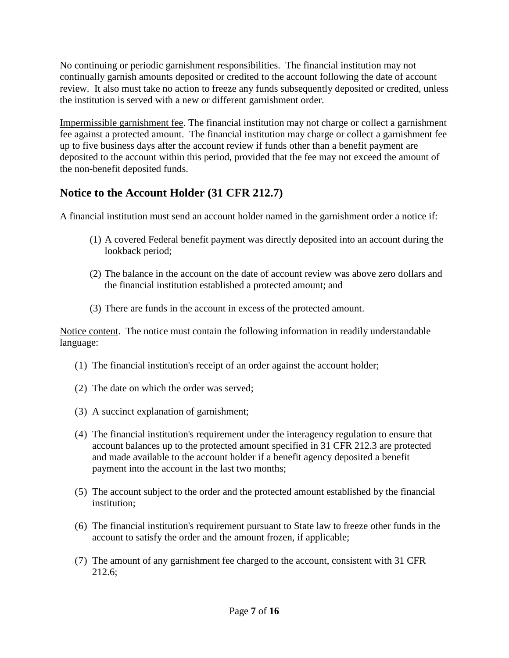No continuing or periodic garnishment responsibilities. The financial institution may not continually garnish amounts deposited or credited to the account following the date of account review. It also must take no action to freeze any funds subsequently deposited or credited, unless the institution is served with a new or different garnishment order.

Impermissible garnishment fee. The financial institution may not charge or collect a garnishment fee against a protected amount. The financial institution may charge or collect a garnishment fee up to five business days after the account review if funds other than a benefit payment are deposited to the account within this period, provided that the fee may not exceed the amount of the non-benefit deposited funds.

## **Notice to the Account Holder (31 CFR 212.7)**

A financial institution must send an account holder named in the garnishment order a notice if:

- (1) A covered Federal benefit payment was directly deposited into an account during the lookback period;
- (2) The balance in the account on the date of account review was above zero dollars and the financial institution established a protected amount; and
- (3) There are funds in the account in excess of the protected amount.

Notice content. The notice must contain the following information in readily understandable language:

- (1) The financial institution's receipt of an order against the account holder;
- (2) The date on which the order was served;
- (3) A succinct explanation of garnishment;
- (4) The financial institution's requirement under the interagency regulation to ensure that account balances up to the protected amount specified in 31 CFR 212.3 are protected and made available to the account holder if a benefit agency deposited a benefit payment into the account in the last two months;
- (5) The account subject to the order and the protected amount established by the financial institution;
- (6) The financial institution's requirement pursuant to State law to freeze other funds in the account to satisfy the order and the amount frozen, if applicable;
- (7) The amount of any garnishment fee charged to the account, consistent with 31 CFR 212.6;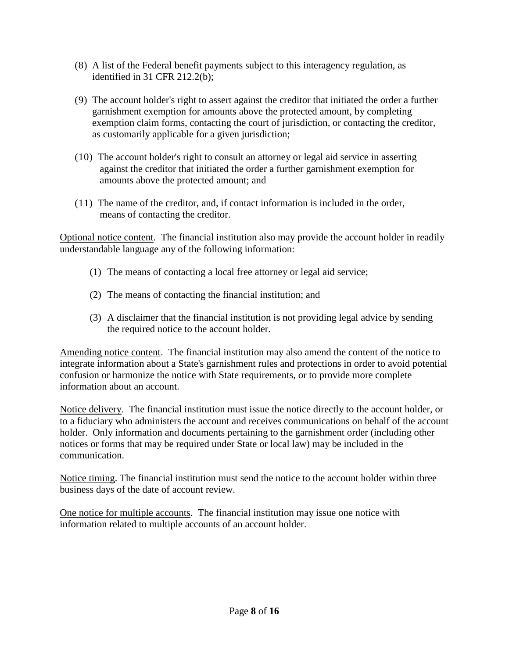- (8) A list of the Federal benefit payments subject to this interagency regulation, as identified in 31 CFR 212.2(b);
- (9) The account holder's right to assert against the creditor that initiated the order a further garnishment exemption for amounts above the protected amount, by completing exemption claim forms, contacting the court of jurisdiction, or contacting the creditor, as customarily applicable for a given jurisdiction;
- (10) The account holder's right to consult an attorney or legal aid service in asserting against the creditor that initiated the order a further garnishment exemption for amounts above the protected amount; and
- (11) The name of the creditor, and, if contact information is included in the order, means of contacting the creditor.

Optional notice content. The financial institution also may provide the account holder in readily understandable language any of the following information:

- (1) The means of contacting a local free attorney or legal aid service;
- (2) The means of contacting the financial institution; and
- (3) A disclaimer that the financial institution is not providing legal advice by sending the required notice to the account holder.

Amending notice content. The financial institution may also amend the content of the notice to integrate information about a State's garnishment rules and protections in order to avoid potential confusion or harmonize the notice with State requirements, or to provide more complete information about an account.

Notice delivery. The financial institution must issue the notice directly to the account holder, or to a fiduciary who administers the account and receives communications on behalf of the account holder. Only information and documents pertaining to the garnishment order (including other notices or forms that may be required under State or local law) may be included in the communication.

Notice timing. The financial institution must send the notice to the account holder within three business days of the date of account review.

One notice for multiple accounts. The financial institution may issue one notice with information related to multiple accounts of an account holder.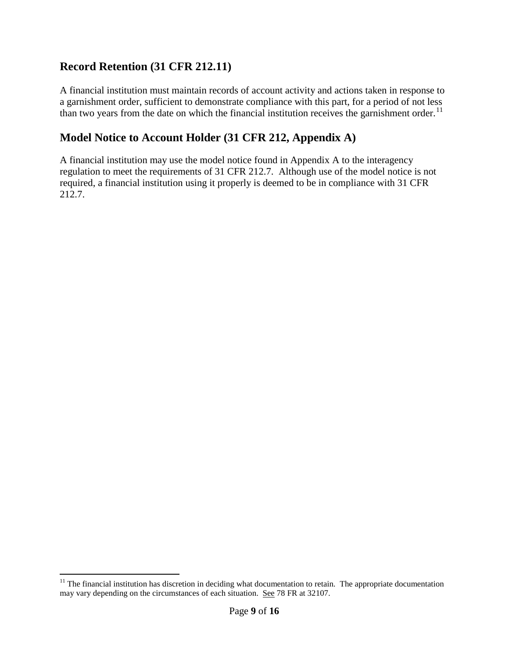#### **Record Retention (31 CFR 212.11)**

A financial institution must maintain records of account activity and actions taken in response to a garnishment order, sufficient to demonstrate compliance with this part, for a period of not less than two years from the date on which the financial institution receives the garnishment order.<sup>[11](#page-8-0)</sup>

### **Model Notice to Account Holder (31 CFR 212, Appendix A)**

A financial institution may use the model notice found in Appendix A to the interagency regulation to meet the requirements of 31 CFR 212.7. Although use of the model notice is not required, a financial institution using it properly is deemed to be in compliance with 31 CFR 212.7.

<span id="page-8-0"></span> $11$  The financial institution has discretion in deciding what documentation to retain. The appropriate documentation may vary depending on the circumstances of each situation. See 78 FR at 32107.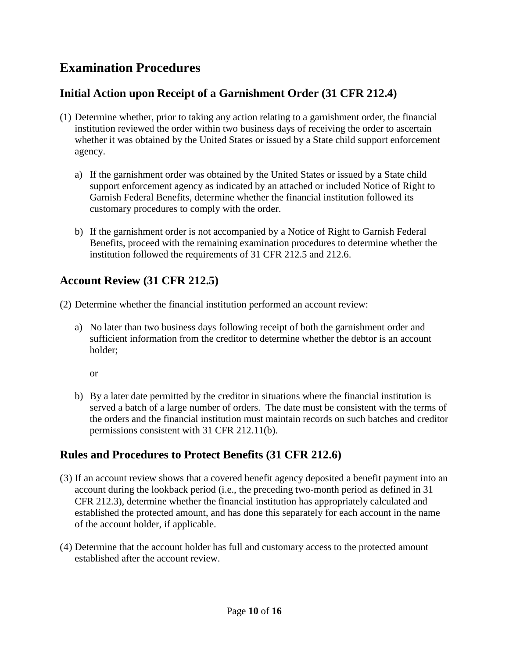# **Examination Procedures**

### **Initial Action upon Receipt of a Garnishment Order (31 CFR 212.4)**

- (1) Determine whether, prior to taking any action relating to a garnishment order, the financial institution reviewed the order within two business days of receiving the order to ascertain whether it was obtained by the United States or issued by a State child support enforcement agency.
	- a) If the garnishment order was obtained by the United States or issued by a State child support enforcement agency as indicated by an attached or included Notice of Right to Garnish Federal Benefits, determine whether the financial institution followed its customary procedures to comply with the order.
	- b) If the garnishment order is not accompanied by a Notice of Right to Garnish Federal Benefits, proceed with the remaining examination procedures to determine whether the institution followed the requirements of 31 CFR 212.5 and 212.6.

### **Account Review (31 CFR 212.5)**

(2) Determine whether the financial institution performed an account review:

a) No later than two business days following receipt of both the garnishment order and sufficient information from the creditor to determine whether the debtor is an account holder;

or

b) By a later date permitted by the creditor in situations where the financial institution is served a batch of a large number of orders. The date must be consistent with the terms of the orders and the financial institution must maintain records on such batches and creditor permissions consistent with 31 CFR 212.11(b).

#### **Rules and Procedures to Protect Benefits (31 CFR 212.6)**

- (3) If an account review shows that a covered benefit agency deposited a benefit payment into an account during the lookback period (i.e., the preceding two-month period as defined in 31 CFR 212.3), determine whether the financial institution has appropriately calculated and established the protected amount, and has done this separately for each account in the name of the account holder, if applicable.
- (4) Determine that the account holder has full and customary access to the protected amount established after the account review.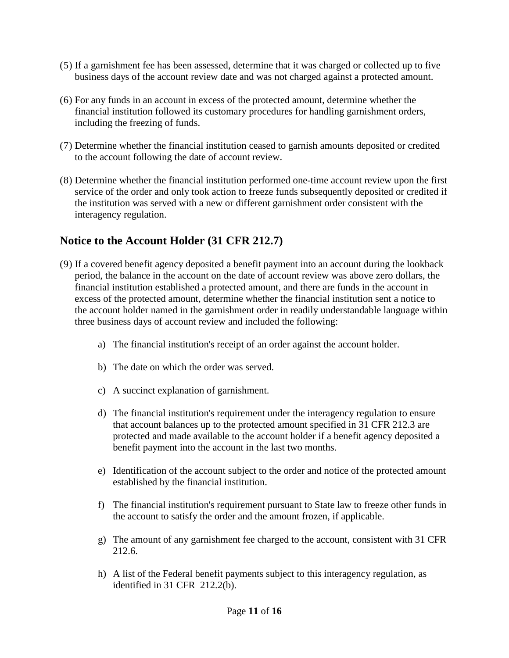- (5) If a garnishment fee has been assessed, determine that it was charged or collected up to five business days of the account review date and was not charged against a protected amount.
- (6) For any funds in an account in excess of the protected amount, determine whether the financial institution followed its customary procedures for handling garnishment orders, including the freezing of funds.
- (7) Determine whether the financial institution ceased to garnish amounts deposited or credited to the account following the date of account review.
- (8) Determine whether the financial institution performed one-time account review upon the first service of the order and only took action to freeze funds subsequently deposited or credited if the institution was served with a new or different garnishment order consistent with the interagency regulation.

#### **Notice to the Account Holder (31 CFR 212.7)**

- (9) If a covered benefit agency deposited a benefit payment into an account during the lookback period, the balance in the account on the date of account review was above zero dollars, the financial institution established a protected amount, and there are funds in the account in excess of the protected amount, determine whether the financial institution sent a notice to the account holder named in the garnishment order in readily understandable language within three business days of account review and included the following:
	- a) The financial institution's receipt of an order against the account holder.
	- b) The date on which the order was served.
	- c) A succinct explanation of garnishment.
	- d) The financial institution's requirement under the interagency regulation to ensure that account balances up to the protected amount specified in 31 CFR 212.3 are protected and made available to the account holder if a benefit agency deposited a benefit payment into the account in the last two months.
	- e) Identification of the account subject to the order and notice of the protected amount established by the financial institution.
	- f) The financial institution's requirement pursuant to State law to freeze other funds in the account to satisfy the order and the amount frozen, if applicable.
	- g) The amount of any garnishment fee charged to the account, consistent with 31 CFR 212.6.
	- h) A list of the Federal benefit payments subject to this interagency regulation, as identified in 31 CFR 212.2(b).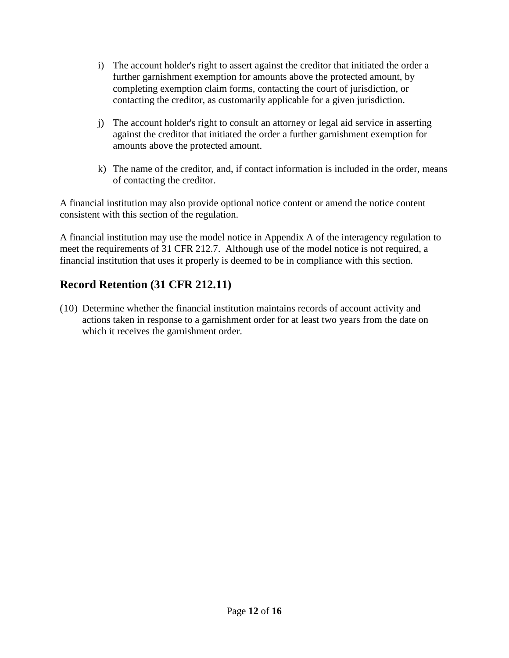- i) The account holder's right to assert against the creditor that initiated the order a further garnishment exemption for amounts above the protected amount, by completing exemption claim forms, contacting the court of jurisdiction, or contacting the creditor, as customarily applicable for a given jurisdiction.
- j) The account holder's right to consult an attorney or legal aid service in asserting against the creditor that initiated the order a further garnishment exemption for amounts above the protected amount.
- k) The name of the creditor, and, if contact information is included in the order, means of contacting the creditor.

A financial institution may also provide optional notice content or amend the notice content consistent with this section of the regulation.

A financial institution may use the model notice in Appendix A of the interagency regulation to meet the requirements of 31 CFR 212.7. Although use of the model notice is not required, a financial institution that uses it properly is deemed to be in compliance with this section.

## **Record Retention (31 CFR 212.11)**

(10) Determine whether the financial institution maintains records of account activity and actions taken in response to a garnishment order for at least two years from the date on which it receives the garnishment order.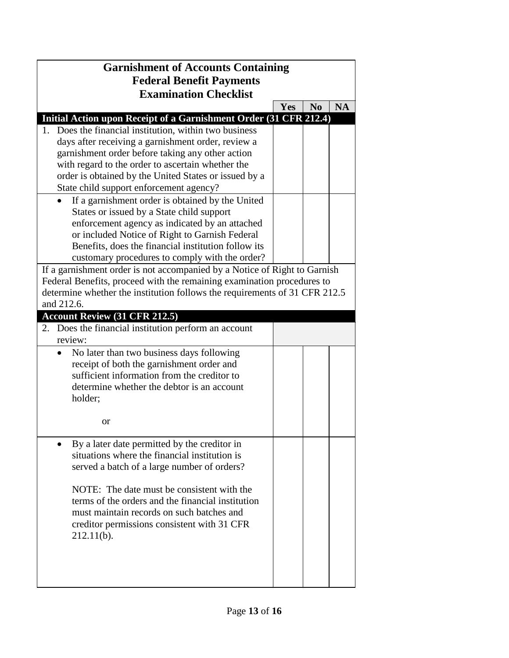| <b>Garnishment of Accounts Containing</b>                                              |     |                |           |  |  |  |
|----------------------------------------------------------------------------------------|-----|----------------|-----------|--|--|--|
| <b>Federal Benefit Payments</b><br><b>Examination Checklist</b>                        |     |                |           |  |  |  |
|                                                                                        | Yes | N <sub>0</sub> | <b>NA</b> |  |  |  |
| Initial Action upon Receipt of a Garnishment Order (31 CFR 212.4)                      |     |                |           |  |  |  |
| Does the financial institution, within two business<br>1.                              |     |                |           |  |  |  |
| days after receiving a garnishment order, review a                                     |     |                |           |  |  |  |
| garnishment order before taking any other action                                       |     |                |           |  |  |  |
| with regard to the order to ascertain whether the                                      |     |                |           |  |  |  |
| order is obtained by the United States or issued by a                                  |     |                |           |  |  |  |
| State child support enforcement agency?                                                |     |                |           |  |  |  |
| If a garnishment order is obtained by the United                                       |     |                |           |  |  |  |
| States or issued by a State child support                                              |     |                |           |  |  |  |
| enforcement agency as indicated by an attached                                         |     |                |           |  |  |  |
| or included Notice of Right to Garnish Federal                                         |     |                |           |  |  |  |
| Benefits, does the financial institution follow its                                    |     |                |           |  |  |  |
| customary procedures to comply with the order?                                         |     |                |           |  |  |  |
| If a garnishment order is not accompanied by a Notice of Right to Garnish              |     |                |           |  |  |  |
| Federal Benefits, proceed with the remaining examination procedures to                 |     |                |           |  |  |  |
| determine whether the institution follows the requirements of 31 CFR 212.5             |     |                |           |  |  |  |
| and 212.6.                                                                             |     |                |           |  |  |  |
| <b>Account Review (31 CFR 212.5)</b>                                                   |     |                |           |  |  |  |
| Does the financial institution perform an account<br>2.<br>review:                     |     |                |           |  |  |  |
|                                                                                        |     |                |           |  |  |  |
| No later than two business days following<br>receipt of both the garnishment order and |     |                |           |  |  |  |
| sufficient information from the creditor to                                            |     |                |           |  |  |  |
| determine whether the debtor is an account                                             |     |                |           |  |  |  |
| holder;                                                                                |     |                |           |  |  |  |
|                                                                                        |     |                |           |  |  |  |
| or                                                                                     |     |                |           |  |  |  |
|                                                                                        |     |                |           |  |  |  |
| By a later date permitted by the creditor in                                           |     |                |           |  |  |  |
| situations where the financial institution is                                          |     |                |           |  |  |  |
| served a batch of a large number of orders?                                            |     |                |           |  |  |  |
|                                                                                        |     |                |           |  |  |  |
| NOTE: The date must be consistent with the                                             |     |                |           |  |  |  |
| terms of the orders and the financial institution                                      |     |                |           |  |  |  |
| must maintain records on such batches and                                              |     |                |           |  |  |  |
| creditor permissions consistent with 31 CFR                                            |     |                |           |  |  |  |
| 212.11(b).                                                                             |     |                |           |  |  |  |
|                                                                                        |     |                |           |  |  |  |
|                                                                                        |     |                |           |  |  |  |
|                                                                                        |     |                |           |  |  |  |
|                                                                                        |     |                |           |  |  |  |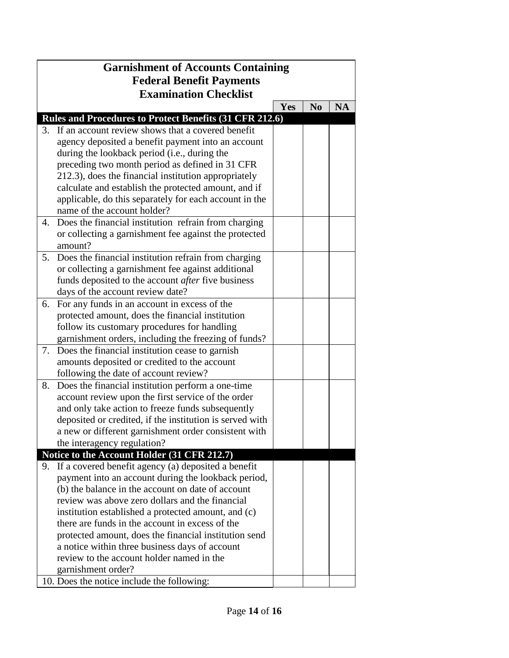| <b>Garnishment of Accounts Containing</b> |                                                           |     |                |           |
|-------------------------------------------|-----------------------------------------------------------|-----|----------------|-----------|
| <b>Federal Benefit Payments</b>           |                                                           |     |                |           |
|                                           | <b>Examination Checklist</b>                              |     |                |           |
|                                           |                                                           | Yes | N <sub>0</sub> | <b>NA</b> |
|                                           | Rules and Procedures to Protect Benefits (31 CFR 212.6)   |     |                |           |
| 3.                                        | If an account review shows that a covered benefit         |     |                |           |
|                                           | agency deposited a benefit payment into an account        |     |                |           |
|                                           | during the lookback period (i.e., during the              |     |                |           |
|                                           | preceding two month period as defined in 31 CFR           |     |                |           |
|                                           | 212.3), does the financial institution appropriately      |     |                |           |
|                                           | calculate and establish the protected amount, and if      |     |                |           |
|                                           | applicable, do this separately for each account in the    |     |                |           |
|                                           | name of the account holder?                               |     |                |           |
| 4.                                        | Does the financial institution refrain from charging      |     |                |           |
|                                           | or collecting a garnishment fee against the protected     |     |                |           |
|                                           | amount?                                                   |     |                |           |
| 5.                                        | Does the financial institution refrain from charging      |     |                |           |
|                                           | or collecting a garnishment fee against additional        |     |                |           |
|                                           | funds deposited to the account <i>after</i> five business |     |                |           |
|                                           | days of the account review date?                          |     |                |           |
| 6.                                        | For any funds in an account in excess of the              |     |                |           |
|                                           | protected amount, does the financial institution          |     |                |           |
|                                           | follow its customary procedures for handling              |     |                |           |
|                                           | garnishment orders, including the freezing of funds?      |     |                |           |
| 7.                                        | Does the financial institution cease to garnish           |     |                |           |
|                                           | amounts deposited or credited to the account              |     |                |           |
|                                           | following the date of account review?                     |     |                |           |
| 8.                                        | Does the financial institution perform a one-time         |     |                |           |
|                                           | account review upon the first service of the order        |     |                |           |
|                                           | and only take action to freeze funds subsequently         |     |                |           |
|                                           | deposited or credited, if the institution is served with  |     |                |           |
|                                           | a new or different garnishment order consistent with      |     |                |           |
|                                           | the interagency regulation?                               |     |                |           |
|                                           | Notice to the Account Holder (31 CFR 212.7)               |     |                |           |
|                                           | 9. If a covered benefit agency (a) deposited a benefit    |     |                |           |
|                                           | payment into an account during the lookback period,       |     |                |           |
|                                           | (b) the balance in the account on date of account         |     |                |           |
|                                           | review was above zero dollars and the financial           |     |                |           |
|                                           | institution established a protected amount, and (c)       |     |                |           |
|                                           | there are funds in the account in excess of the           |     |                |           |
|                                           | protected amount, does the financial institution send     |     |                |           |
|                                           | a notice within three business days of account            |     |                |           |
|                                           | review to the account holder named in the                 |     |                |           |
|                                           | garnishment order?                                        |     |                |           |
|                                           | 10. Does the notice include the following:                |     |                |           |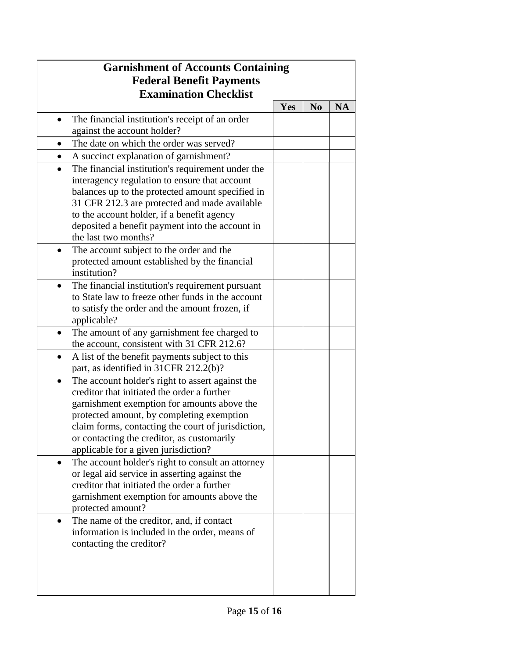|                                 | <b>Garnishment of Accounts Containing</b>          |     |                |           |  |
|---------------------------------|----------------------------------------------------|-----|----------------|-----------|--|
| <b>Federal Benefit Payments</b> |                                                    |     |                |           |  |
|                                 | <b>Examination Checklist</b>                       |     |                |           |  |
|                                 |                                                    | Yes | N <sub>0</sub> | <b>NA</b> |  |
|                                 | The financial institution's receipt of an order    |     |                |           |  |
|                                 | against the account holder?                        |     |                |           |  |
|                                 | The date on which the order was served?            |     |                |           |  |
| $\bullet$                       | A succinct explanation of garnishment?             |     |                |           |  |
| $\bullet$                       | The financial institution's requirement under the  |     |                |           |  |
|                                 | interagency regulation to ensure that account      |     |                |           |  |
|                                 | balances up to the protected amount specified in   |     |                |           |  |
|                                 | 31 CFR 212.3 are protected and made available      |     |                |           |  |
|                                 | to the account holder, if a benefit agency         |     |                |           |  |
|                                 | deposited a benefit payment into the account in    |     |                |           |  |
|                                 | the last two months?                               |     |                |           |  |
|                                 | The account subject to the order and the           |     |                |           |  |
|                                 | protected amount established by the financial      |     |                |           |  |
|                                 | institution?                                       |     |                |           |  |
| $\bullet$                       | The financial institution's requirement pursuant   |     |                |           |  |
|                                 | to State law to freeze other funds in the account  |     |                |           |  |
|                                 | to satisfy the order and the amount frozen, if     |     |                |           |  |
|                                 | applicable?                                        |     |                |           |  |
| $\bullet$                       | The amount of any garnishment fee charged to       |     |                |           |  |
|                                 | the account, consistent with 31 CFR 212.6?         |     |                |           |  |
| ٠                               | A list of the benefit payments subject to this     |     |                |           |  |
|                                 | part, as identified in 31CFR 212.2(b)?             |     |                |           |  |
| $\bullet$                       | The account holder's right to assert against the   |     |                |           |  |
|                                 | creditor that initiated the order a further        |     |                |           |  |
|                                 | garnishment exemption for amounts above the        |     |                |           |  |
|                                 | protected amount, by completing exemption          |     |                |           |  |
|                                 | claim forms, contacting the court of jurisdiction, |     |                |           |  |
|                                 | or contacting the creditor, as customarily         |     |                |           |  |
|                                 | applicable for a given jurisdiction?               |     |                |           |  |
| $\bullet$                       | The account holder's right to consult an attorney  |     |                |           |  |
|                                 | or legal aid service in asserting against the      |     |                |           |  |
|                                 | creditor that initiated the order a further        |     |                |           |  |
|                                 | garnishment exemption for amounts above the        |     |                |           |  |
|                                 | protected amount?                                  |     |                |           |  |
|                                 | The name of the creditor, and, if contact          |     |                |           |  |
|                                 | information is included in the order, means of     |     |                |           |  |
|                                 | contacting the creditor?                           |     |                |           |  |
|                                 |                                                    |     |                |           |  |
|                                 |                                                    |     |                |           |  |
|                                 |                                                    |     |                |           |  |
|                                 |                                                    |     |                |           |  |